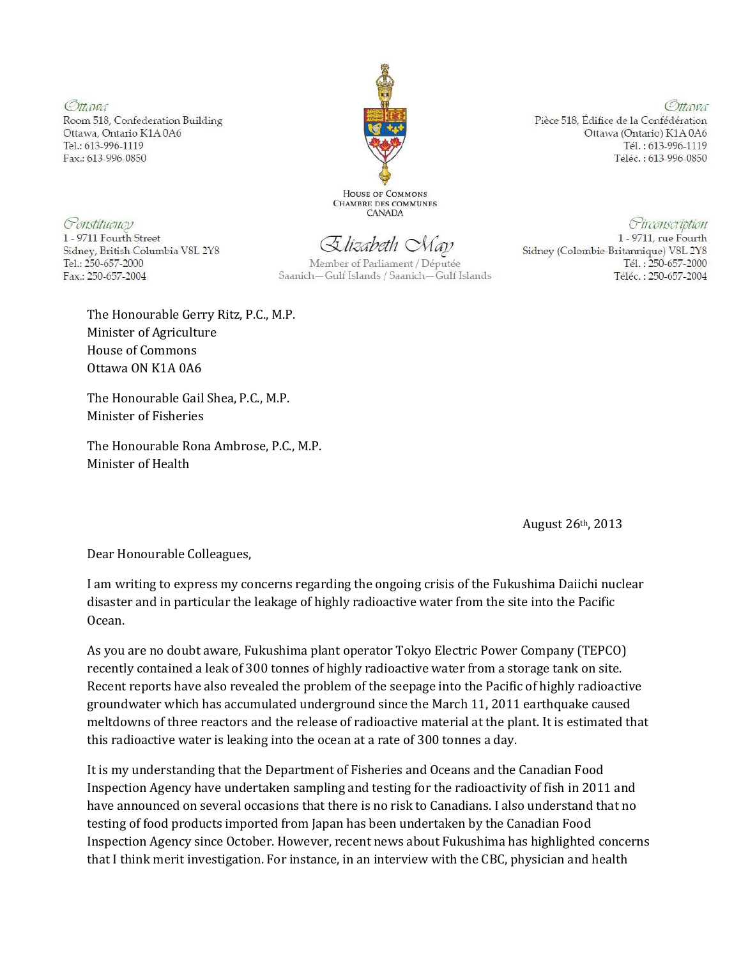Ottawa Room 518, Confederation Building Ottawa, Ontario K1A0A6 Tel.: 613-996-1119 Fax.: 613-996-0850



HOUSE OF COMMONS **CHAMBRE DES COMMUNES CANADA** 

Constituency

1 - 9711 Fourth Street Sidney, British Columbia V8L 2Y8 Tel.: 250-657-2000 Fax.: 250-657-2004

Elizabeth Nay

Member of Parliament / Députée Saanich-Gulf Islands / Saanich-Gulf Islands

Tél.: 613-996-1119 Téléc.: 613-996-0850

Pièce 518, Édifice de la Confédération

Ottawa (Ontario) K1A 0A6

Circonscription

Ottawa

1 - 9711, rue Fourth Sidney (Colombie-Britannique) V8L 2Y8 Tél.: 250-657-2000 Téléc.: 250-657-2004

The Honourable Gerry Ritz, P.C., M.P. Minister of Agriculture House of Commons Ottawa ON K1A 0A6

The Honourable Gail Shea, P.C., M.P. Minister of Fisheries

The Honourable Rona Ambrose, P.C., M.P. Minister of Health

August 26th, 2013

Dear Honourable Colleagues,

I am writing to express my concerns regarding the ongoing crisis of the Fukushima Daiichi nuclear disaster and in particular the leakage of highly radioactive water from the site into the Pacific Ocean.

As you are no doubt aware, Fukushima plant operator Tokyo Electric Power Company (TEPCO) recently contained a leak of 300 tonnes of highly radioactive water from a storage tank on site. Recent reports have also revealed the problem of the seepage into the Pacific of highly radioactive groundwater which has accumulated underground since the March 11, 2011 earthquake caused meltdowns of three reactors and the release of radioactive material at the plant. It is estimated that this radioactive water is leaking into the ocean at a rate of 300 tonnes a day.

It is my understanding that the Department of Fisheries and Oceans and the Canadian Food Inspection Agency have undertaken sampling and testing for the radioactivity of fish in 2011 and have announced on several occasions that there is no risk to Canadians. I also understand that no testing of food products imported from Japan has been undertaken by the Canadian Food Inspection Agency since October. However, recent news about Fukushima has highlighted concerns that I think merit investigation. For instance, in an interview with the CBC, physician and health